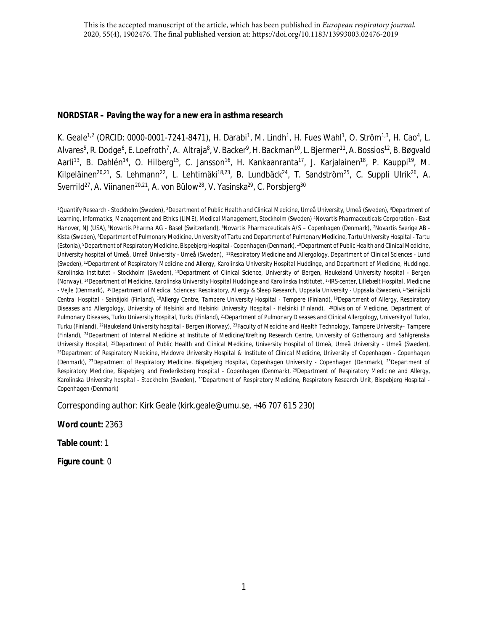# **NORDSTAR – Paving the way for a new era in asthma research**

K. Geale<sup>1,2</sup> (ORCID: 0000-0001-7241-8471), H. Darabi<sup>1</sup>, M. Lindh<sup>1</sup>, H. Fues Wahl<sup>1</sup>, O. Ström<sup>1,3</sup>, H. Cao<sup>4</sup>, L. Alvares<sup>5</sup>, R. Dodge<sup>6</sup>, E. Loefroth<sup>7</sup>, A. Altraja<sup>8</sup>, V. Backer<sup>9</sup>, H. Backman<sup>10</sup>, L. Bjermer<sup>11</sup>, A. Bossios<sup>12</sup>, B. Bøgvald Aarli<sup>13</sup>, B. Dahlén<sup>14</sup>, O. Hilberg<sup>15</sup>, C. Jansson<sup>16</sup>, H. Kankaanranta<sup>17</sup>, J. Karjalainen<sup>18</sup>, P. Kauppi<sup>19</sup>, M. Kilpeläinen<sup>20,21</sup>, S. Lehmann<sup>22</sup>, L. Lehtimäki<sup>18,23</sup>, B. Lundbäck<sup>24</sup>, T. Sandström<sup>25</sup>, C. Suppli Ulrik<sup>26</sup>, A. Sverrild<sup>27</sup>, A. Viinanen<sup>20,21</sup>, A. von Bülow<sup>28</sup>, V. Yasinska<sup>29</sup>, C. Porsbjerg<sup>30</sup>

*<sup>1</sup>Quantify Research - Stockholm (Sweden), <sup>2</sup>Department of Public Health and Clinical Medicine, Umeå University, Umeå (Sweden), <sup>3</sup>Department of Learning, Informatics, Management and Ethics (LIME), Medical Management, Stockholm (Sweden) <sup>4</sup>Novartis Pharmaceuticals Corporation - East Hanover, NJ (USA),<sup>5</sup>Novartis Pharma AG - Basel (Switzerland), <sup>6</sup>Novartis Pharmaceuticals A/S – Copenhagen (Denmark), <sup>7</sup>Novartis Sverige AB - Kista (Sweden), <sup>8</sup>Department of Pulmonary Medicine, University of Tartu and Department of Pulmonary Medicine, Tartu University Hospital - Tartu (Estonia),<sup>9</sup>Department of Respiratory Medicine, Bispebjerg Hospital - Copenhagen (Denmark),<sup>10</sup>Department of Public Health and Clinical Medicine, University hospital of Umeå, Umeå University - Umeå (Sweden),<sup>11</sup>Respiratory Medicine and Allergology, Department of Clinical Sciences - Lund (Sweden),<sup>12</sup>Department of Respiratory Medicine and Allergy, Karolinska University Hospital Huddinge, and Department of Medicine, Huddinge, Karolinska Institutet - Stockholm (Sweden),<sup>13</sup>Department of Clinical Science, University of Bergen, Haukeland University hospital - Bergen (Norway), <sup>14</sup>Department of Medicine, Karolinska University Hospital Huddinge and Karolinska Institutet, <sup>15</sup>IRS-center, Lillebælt Hospital, Medicine - Vejle (Denmark),<sup>16</sup>Department of Medical Sciences: Respiratory, Allergy & Sleep Research, Uppsala University - Uppsala (Sweden),<sup>17</sup>Seinäjoki Central Hospital - Seinäjoki (Finland),<sup>18</sup>Allergy Centre, Tampere University Hospital - Tempere (Finland),<sup>19</sup>Department of Allergy, Respiratory Diseases and Allergology, University of Helsinki and Helsinki University Hospital - Helsinki (Finland),<sup>20</sup>Division of Medicine, Department of Pulmonary Diseases, Turku University Hospital, Turku (Finland), <sup>21</sup>Department of Pulmonary Diseases and Clinical Allergology, University of Turku, Turku (Finland), <sup>22</sup>Haukeland University hospital - Bergen (Norway), <sup>23</sup>Faculty of Medicine and Health Technology, Tampere University– Tampere (Finland), <sup>24</sup>Department of Internal Medicine at Institute of Medicine/Krefting Research Centre, University of Gothenburg and Sahlgrenska University Hospital, <sup>25</sup>Department of Public Health and Clinical Medicine, University Hospital of Umeå, Umeå University - Umeå (Sweden), <sup>26</sup>Department of Respiratory Medicine, Hvidovre University Hospital & Institute of Clinical Medicine, University of Copenhagen - Copenhagen (Denmark), <sup>27</sup>Department of Respiratory Medicine, Bispebjerg Hospital, Copenhagen University - Copenhagen (Denmark), <sup>28</sup>Department of Respiratory Medicine, Bispebjerg and Frederiksberg Hospital - Copenhagen (Denmark),<sup>29</sup>Department of Respiratory Medicine and Allergy, Karolinska University hospital - Stockholm (Sweden), <sup>30</sup>Department of Respiratory Medicine, Respiratory Research Unit, Bispebjerg Hospital - Copenhagen (Denmark)*

Corresponding author: Kirk Geale (kirk.geale@umu.se, +46 707 615 230)

**Word count:** 2363

**Table count**: 1

**Figure count**: 0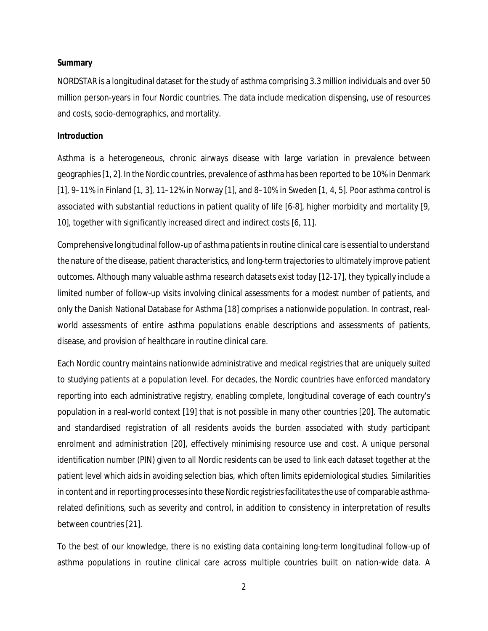#### **Summary**

NORDSTAR is a longitudinal dataset for the study of asthma comprising 3.3 million individuals and over 50 million person-years in four Nordic countries. The data include medication dispensing, use of resources and costs, socio-demographics, and mortality.

### **Introduction**

Asthma is a heterogeneous, chronic airways disease with large variation in prevalence between geographies [[1](#page-11-0), [2\]](#page-10-0). In the Nordic countries, prevalence of asthma has been reported to be 10% in Denmark [\[1\]](#page-11-0), 9–11% in Finland [\[1,](#page-11-0) [3\]](#page-10-1), 11–12% in Norway [[1\]](#page-11-0), and 8–10% in Sweden [[1,](#page-11-0) [4,](#page-10-2) [5\]](#page-10-3). Poor asthma control is associated with substantial reductions in patient quality of life [[6-8\]](#page-10-4), higher morbidity and mortality [[9,](#page-10-5) [10](#page-10-6)], together with significantly increased direct and indirect costs [[6,](#page-10-4) [11\]](#page-10-7).

Comprehensive longitudinal follow-up of asthma patients in routine clinical care is essential to understand the nature of the disease, patient characteristics, and long-term trajectories to ultimately improve patient outcomes. Although many valuable asthma research datasets exist today [[12-17\]](#page-10-8), they typically include a limited number of follow-up visits involving clinical assessments for a modest number of patients, and only the Danish National Database for Asthma [[18](#page-11-1)] comprises a nationwide population. In contrast, realworld assessments of entire asthma populations enable descriptions and assessments of patients, disease, and provision of healthcare in routine clinical care.

Each Nordic country maintains nationwide administrative and medical registries that are uniquely suited to studying patients at a population level. For decades, the Nordic countries have enforced mandatory reporting into each administrative registry, enabling complete, longitudinal coverage of each country's population in a real-world context [[19\]](#page-11-2) that is not possible in many other countries [\[20\]](#page-11-3). The automatic and standardised registration of all residents avoids the burden associated with study participant enrolment and administration [\[20\]](#page-11-3), effectively minimising resource use and cost. A unique personal identification number (PIN) given to all Nordic residents can be used to link each dataset together at the patient level which aids in avoiding selection bias, which often limits epidemiological studies. Similarities in content and in reporting processes into these Nordic registries facilitates the use of comparable asthmarelated definitions, such as severity and control, in addition to consistency in interpretation of results between countries [[21](#page-11-4)].

To the best of our knowledge, there is no existing data containing long-term longitudinal follow-up of asthma populations in routine clinical care across multiple countries built on nation-wide data. A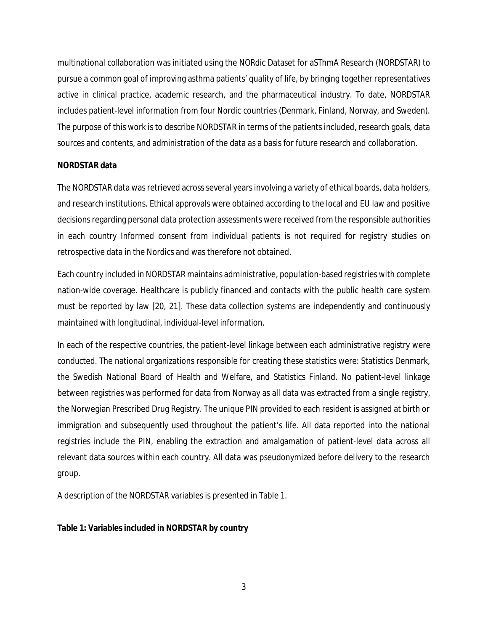multinational collaboration was initiated using the NORdic Dataset for aSThmA Research (NORDSTAR) to pursue a common goal of improving asthma patients' quality of life, by bringing together representatives active in clinical practice, academic research, and the pharmaceutical industry. To date, NORDSTAR includes patient-level information from four Nordic countries (Denmark, Finland, Norway, and Sweden). The purpose of this work is to describe NORDSTAR in terms of the patients included, research goals, data sources and contents, and administration of the data as a basis for future research and collaboration.

# **NORDSTAR data**

The NORDSTAR data was retrieved across several years involving a variety of ethical boards, data holders, and research institutions. Ethical approvals were obtained according to the local and EU law and positive decisions regarding personal data protection assessments were received from the responsible authorities in each country Informed consent from individual patients is not required for registry studies on retrospective data in the Nordics and was therefore not obtained.

Each country included in NORDSTAR maintains administrative, population-based registries with complete nation-wide coverage. Healthcare is publicly financed and contacts with the public health care system must be reported by law [[20,](#page-11-3) [21\]](#page-11-4). These data collection systems are independently and continuously maintained with longitudinal, individual-level information.

In each of the respective countries, the patient-level linkage between each administrative registry were conducted. The national organizations responsible for creating these statistics were: Statistics Denmark, the Swedish National Board of Health and Welfare, and Statistics Finland. No patient-level linkage between registries was performed for data from Norway as all data was extracted from a single registry, the Norwegian Prescribed Drug Registry. The unique PIN provided to each resident is assigned at birth or immigration and subsequently used throughout the patient's life. All data reported into the national registries include the PIN, enabling the extraction and amalgamation of patient-level data across all relevant data sources within each country. All data was pseudonymized before delivery to the research group.

A description of the NORDSTAR variables is presented in [Table 1.](#page-2-0)

<span id="page-2-0"></span>**Table 1: Variables included in NORDSTAR by country**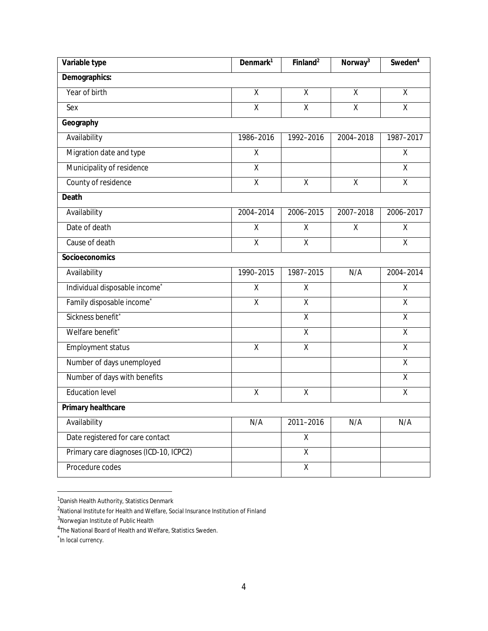| Variable type                             | Denmark <sup>1</sup>    | Finland <sup>2</sup>    | Norway <sup>3</sup> | Sweden <sup>4</sup> |
|-------------------------------------------|-------------------------|-------------------------|---------------------|---------------------|
| Demographics:                             |                         |                         |                     |                     |
| Year of birth                             | $\overline{X}$          | $\overline{X}$          | $\overline{X}$      | $\overline{X}$      |
| Sex                                       | $\overline{\mathsf{x}}$ | $\overline{\mathsf{x}}$ | $\overline{X}$      | $\overline{X}$      |
| Geography                                 |                         |                         |                     |                     |
| Availability                              | 1986-2016               | 1992-2016               | 2004-2018           | 1987-2017           |
| Migration date and type                   | Χ                       |                         |                     | Χ                   |
| Municipality of residence                 | Χ                       |                         |                     | χ                   |
| County of residence                       | $\overline{\mathsf{x}}$ | $\pmb{\mathsf{X}}$      | χ                   | $\overline{X}$      |
| Death                                     |                         |                         |                     |                     |
| Availability                              | 2004-2014               | 2006-2015               | 2007-2018           | 2006-2017           |
| Date of death                             | Χ                       | Χ                       | X                   | Χ                   |
| Cause of death                            | $\overline{\mathsf{x}}$ | $\overline{\mathsf{x}}$ |                     | $\overline{X}$      |
| Socioeconomics                            |                         |                         |                     |                     |
| Availability                              | 1990-2015               | 1987-2015               | N/A                 | 2004-2014           |
| Individual disposable income <sup>*</sup> | Χ                       | Χ                       |                     | X                   |
| Family disposable income*                 | $\overline{\mathsf{X}}$ | $\overline{\mathsf{x}}$ |                     | $\overline{X}$      |
| Sickness benefit*                         |                         | $\overline{\mathsf{x}}$ |                     | $\overline{X}$      |
| Welfare benefit <sup>*</sup>              |                         | $\mathsf X$             |                     | χ                   |
| Employment status                         | $\pmb{\mathsf{X}}$      | $\overline{X}$          |                     | X                   |
| Number of days unemployed                 |                         |                         |                     | X                   |
| Number of days with benefits              |                         |                         |                     | X                   |
| <b>Education level</b>                    | χ                       | χ                       |                     | Χ                   |
| Primary healthcare                        |                         |                         |                     |                     |
| Availability                              | N/A                     | 2011-2016               | N/A                 | N/A                 |
| Date registered for care contact          |                         | $\mathsf{X}$            |                     |                     |
| Primary care diagnoses (ICD-10, ICPC2)    |                         | $\overline{\mathsf{X}}$ |                     |                     |
| Procedure codes                           |                         | $\overline{X}$          |                     |                     |

<span id="page-3-0"></span><sup>&</sup>lt;sup>1</sup> Danish Health Authority, Statistics Denmark

<span id="page-3-1"></span><sup>2</sup>National Institute for Health and Welfare, Social Insurance Institution of Finland

<span id="page-3-2"></span><sup>3</sup>Norwegian Institute of Public Health

<span id="page-3-3"></span><sup>&</sup>lt;sup>4</sup>The National Board of Health and Welfare, Statistics Sweden.

<span id="page-3-7"></span><span id="page-3-6"></span><span id="page-3-5"></span><span id="page-3-4"></span><sup>\*</sup> In local currency.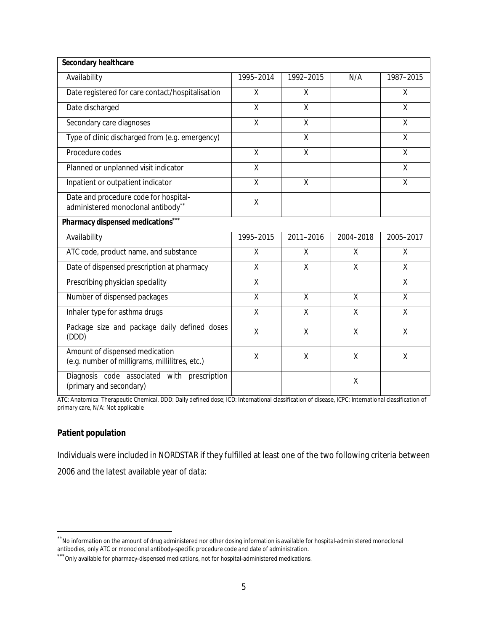| Secondary healthcare                                                             |                |                |              |                |
|----------------------------------------------------------------------------------|----------------|----------------|--------------|----------------|
| Availability                                                                     | 1995-2014      | 1992-2015      | N/A          | 1987-2015      |
| Date registered for care contact/hospitalisation                                 | $\mathsf{X}$   | $\mathsf{X}$   |              | X              |
| Date discharged                                                                  | X              | $\sf X$        |              | X              |
| Secondary care diagnoses                                                         | $\overline{X}$ | $\overline{X}$ |              | $\overline{X}$ |
| Type of clinic discharged from (e.g. emergency)                                  |                | $\sf X$        |              | X              |
| Procedure codes                                                                  | X              | X              |              | $\sf X$        |
| Planned or unplanned visit indicator                                             | $\overline{X}$ |                |              | X              |
| Inpatient or outpatient indicator                                                | $\overline{X}$ | $\sf X$        |              | X              |
| Date and procedure code for hospital-<br>administered monoclonal antibody**      | $\mathsf X$    |                |              |                |
| Pharmacy dispensed medications***                                                |                |                |              |                |
| Availability                                                                     | 1995-2015      | 2011-2016      | 2004-2018    | 2005-2017      |
| ATC code, product name, and substance                                            | X              | X              | $\mathsf{X}$ | X              |
| Date of dispensed prescription at pharmacy                                       | $\mathsf{X}$   | $\mathsf{X}$   | $\mathsf{X}$ | X              |
| Prescribing physician speciality                                                 | $\mathsf{X}$   |                |              | X              |
|                                                                                  |                |                |              |                |
| Number of dispensed packages                                                     | $\sf X$        | $\sf X$        | X            | X              |
| Inhaler type for asthma drugs                                                    | $\mathsf{X}$   | $\mathsf{X}$   | $\mathsf{X}$ | $\mathsf{X}$   |
| Package size and package daily defined doses<br>(DDD)                            | Χ              | X              | X            | X              |
| Amount of dispensed medication<br>(e.g. number of milligrams, millilitres, etc.) | χ              | X              | $\sf X$      | X              |

ATC: Anatomical Therapeutic Chemical, DDD: Daily defined dose; ICD: International classification of disease, ICPC: International classification of primary care, N/A: Not applicable

## **Patient population**

Individuals were included in NORDSTAR if they fulfilled at least one of the two following criteria between 2006 and the latest available year of data:

<span id="page-4-0"></span><sup>\*\*</sup>No information on the amount of drug administered nor other dosing information is available for hospital-administered monoclonal antibodies, only ATC or monoclonal antibody-specific procedure code and date of administration.

<span id="page-4-1"></span><sup>\*\*\*</sup>Only available for pharmacy-dispensed medications, not for hospital-administered medications.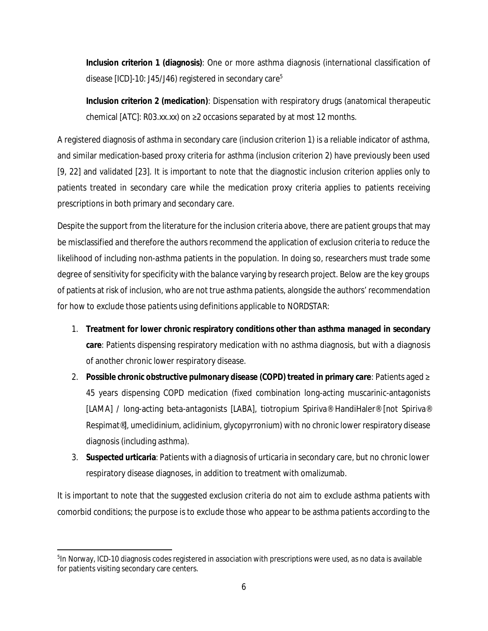**Inclusion criterion 1 (diagnosis)**: One or more asthma diagnosis (international classification of disease [ICD]-10: J4[5](#page-5-0)/J46) registered in secondary care<sup>5</sup>

**Inclusion criterion 2 (medication)**: Dispensation with respiratory drugs (anatomical therapeutic chemical  $[ATC]$ : R03.xx.xx) on  $\geq 2$  occasions separated by at most 12 months.

A registered diagnosis of asthma in secondary care (inclusion criterion 1) is a reliable indicator of asthma, and similar medication-based proxy criteria for asthma (inclusion criterion 2) have previously been used [\[9,](#page-10-5) [22](#page-11-5)] and validated [\[23](#page-11-6)]. It is important to note that the diagnostic inclusion criterion applies only to patients treated in secondary care while the medication proxy criteria applies to patients receiving prescriptions in both primary and secondary care.

Despite the support from the literature for the inclusion criteria above, there are patient groups that may be misclassified and therefore the authors recommend the application of exclusion criteria to reduce the likelihood of including non-asthma patients in the population. In doing so, researchers must trade some degree of sensitivity for specificity with the balance varying by research project. Below are the key groups of patients at risk of inclusion, who are not true asthma patients, alongside the authors' recommendation for how to exclude those patients using definitions applicable to NORDSTAR:

- 1. **Treatment for lower chronic respiratory conditions other than asthma managed in secondary care**: Patients dispensing respiratory medication with no asthma diagnosis, but with a diagnosis of another chronic lower respiratory disease.
- 2. **Possible chronic obstructive pulmonary disease (COPD) treated in primary care**: Patients aged ≥ 45 years dispensing COPD medication (fixed combination long-acting muscarinic-antagonists [LAMA] / long-acting beta-antagonists [LABA], tiotropium Spiriva® HandiHaler® [not Spiriva® Respimat®], umeclidinium, aclidinium, glycopyrronium) with no chronic lower respiratory disease diagnosis (including asthma).
- 3. **Suspected urticaria**: Patients with a diagnosis of urticaria in secondary care, but no chronic lower respiratory disease diagnoses, in addition to treatment with omalizumab.

It is important to note that the suggested exclusion criteria do not aim to exclude asthma patients with comorbid conditions; the purpose is to exclude those who appear to be asthma patients according to the

<span id="page-5-0"></span><sup>&</sup>lt;sup>5</sup>In Norway, ICD-10 diagnosis codes registered in association with prescriptions were used, as no data is available for patients visiting secondary care centers.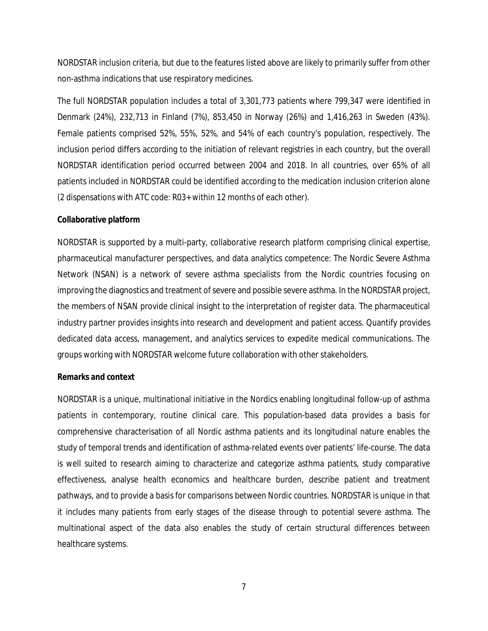NORDSTAR inclusion criteria, but due to the features listed above are likely to primarily suffer from other non-asthma indications that use respiratory medicines.

The full NORDSTAR population includes a total of 3,301,773 patients where 799,347 were identified in Denmark (24%), 232,713 in Finland (7%), 853,450 in Norway (26%) and 1,416,263 in Sweden (43%). Female patients comprised 52%, 55%, 52%, and 54% of each country's population, respectively. The inclusion period differs according to the initiation of relevant registries in each country, but the overall NORDSTAR identification period occurred between 2004 and 2018. In all countries, over 65% of all patients included in NORDSTAR could be identified according to the medication inclusion criterion alone (2 dispensations with ATC code: R03+ within 12 months of each other).

#### **Collaborative platform**

NORDSTAR is supported by a multi-party, collaborative research platform comprising clinical expertise, pharmaceutical manufacturer perspectives, and data analytics competence: The Nordic Severe Asthma Network (NSAN) is a network of severe asthma specialists from the Nordic countries focusing on improving the diagnostics and treatment of severe and possible severe asthma. In the NORDSTAR project, the members of NSAN provide clinical insight to the interpretation of register data. The pharmaceutical industry partner provides insights into research and development and patient access. Quantify provides dedicated data access, management, and analytics services to expedite medical communications. The groups working with NORDSTAR welcome future collaboration with other stakeholders.

#### **Remarks and context**

NORDSTAR is a unique, multinational initiative in the Nordics enabling longitudinal follow-up of asthma patients in contemporary, routine clinical care. This population-based data provides a basis for comprehensive characterisation of all Nordic asthma patients and its longitudinal nature enables the study of temporal trends and identification of asthma-related events over patients' life-course. The data is well suited to research aiming to characterize and categorize asthma patients, study comparative effectiveness, analyse health economics and healthcare burden, describe patient and treatment pathways, and to provide a basis for comparisons between Nordic countries. NORDSTAR is unique in that it includes many patients from early stages of the disease through to potential severe asthma. The multinational aspect of the data also enables the study of certain structural differences between healthcare systems.

7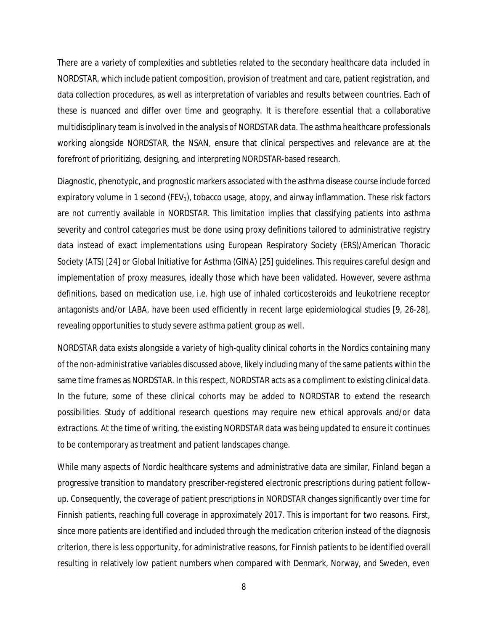There are a variety of complexities and subtleties related to the secondary healthcare data included in NORDSTAR, which include patient composition, provision of treatment and care, patient registration, and data collection procedures, as well as interpretation of variables and results between countries. Each of these is nuanced and differ over time and geography. It is therefore essential that a collaborative multidisciplinary team is involved in the analysis of NORDSTAR data. The asthma healthcare professionals working alongside NORDSTAR, the NSAN, ensure that clinical perspectives and relevance are at the forefront of prioritizing, designing, and interpreting NORDSTAR-based research.

Diagnostic, phenotypic, and prognostic markers associated with the asthma disease course include forced expiratory volume in 1 second  $(FEV_1)$ , tobacco usage, atopy, and airway inflammation. These risk factors are not currently available in NORDSTAR. This limitation implies that classifying patients into asthma severity and control categories must be done using proxy definitions tailored to administrative registry data instead of exact implementations using European Respiratory Society (ERS)/American Thoracic Society (ATS) [\[24\]](#page-11-7) or Global Initiative for Asthma (GINA) [\[25\]](#page-11-8) guidelines. This requires careful design and implementation of proxy measures, ideally those which have been validated. However, severe asthma definitions, based on medication use, i.e. high use of inhaled corticosteroids and leukotriene receptor antagonists and/or LABA, have been used efficiently in recent large epidemiological studies [\[9,](#page-10-5) [26-28\]](#page-11-9), revealing opportunities to study severe asthma patient group as well.

NORDSTAR data exists alongside a variety of high-quality clinical cohorts in the Nordics containing many of the non-administrative variables discussed above, likely including many of the same patients within the same time frames as NORDSTAR. In this respect, NORDSTAR acts as a compliment to existing clinical data. In the future, some of these clinical cohorts may be added to NORDSTAR to extend the research possibilities. Study of additional research questions may require new ethical approvals and/or data extractions. At the time of writing, the existing NORDSTAR data was being updated to ensure it continues to be contemporary as treatment and patient landscapes change.

While many aspects of Nordic healthcare systems and administrative data are similar, Finland began a progressive transition to mandatory prescriber-registered electronic prescriptions during patient followup. Consequently, the coverage of patient prescriptions in NORDSTAR changes significantly over time for Finnish patients, reaching full coverage in approximately 2017. This is important for two reasons. First, since more patients are identified and included through the medication criterion instead of the diagnosis criterion, there is less opportunity, for administrative reasons, for Finnish patients to be identified overall resulting in relatively low patient numbers when compared with Denmark, Norway, and Sweden, even

8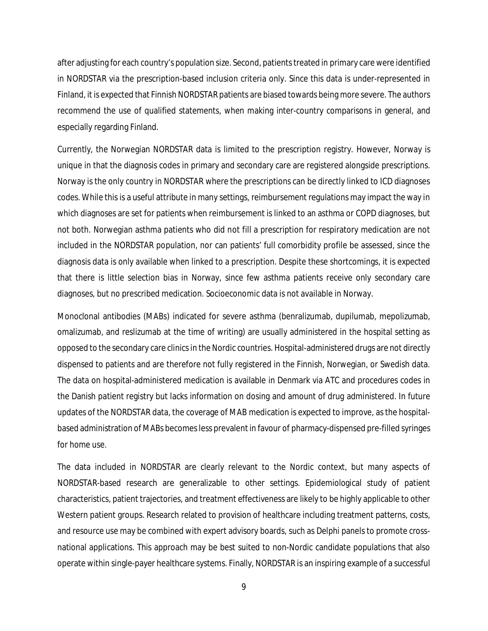after adjusting for each country's population size. Second, patients treated in primary care were identified in NORDSTAR via the prescription-based inclusion criteria only. Since this data is under-represented in Finland, it is expected that Finnish NORDSTAR patients are biased towards being more severe. The authors recommend the use of qualified statements, when making inter-country comparisons in general, and especially regarding Finland.

Currently, the Norwegian NORDSTAR data is limited to the prescription registry. However, Norway is unique in that the diagnosis codes in primary and secondary care are registered alongside prescriptions. Norway is the only country in NORDSTAR where the prescriptions can be directly linked to ICD diagnoses codes. While this is a useful attribute in many settings, reimbursement regulations may impact the way in which diagnoses are set for patients when reimbursement is linked to an asthma or COPD diagnoses, but not both. Norwegian asthma patients who did not fill a prescription for respiratory medication are not included in the NORDSTAR population, nor can patients' full comorbidity profile be assessed, since the diagnosis data is only available when linked to a prescription. Despite these shortcomings, it is expected that there is little selection bias in Norway, since few asthma patients receive only secondary care diagnoses, but no prescribed medication. Socioeconomic data is not available in Norway.

Monoclonal antibodies (MABs) indicated for severe asthma (benralizumab, dupilumab, mepolizumab, omalizumab, and reslizumab at the time of writing) are usually administered in the hospital setting as opposed to the secondary care clinics in the Nordic countries. Hospital-administered drugs are not directly dispensed to patients and are therefore not fully registered in the Finnish, Norwegian, or Swedish data. The data on hospital-administered medication is available in Denmark via ATC and procedures codes in the Danish patient registry but lacks information on dosing and amount of drug administered. In future updates of the NORDSTAR data, the coverage of MAB medication is expected to improve, as the hospitalbased administration of MABs becomes less prevalent in favour of pharmacy-dispensed pre-filled syringes for home use.

The data included in NORDSTAR are clearly relevant to the Nordic context, but many aspects of NORDSTAR-based research are generalizable to other settings. Epidemiological study of patient characteristics, patient trajectories, and treatment effectiveness are likely to be highly applicable to other Western patient groups. Research related to provision of healthcare including treatment patterns, costs, and resource use may be combined with expert advisory boards, such as Delphi panels to promote crossnational applications. This approach may be best suited to non-Nordic candidate populations that also operate within single-payer healthcare systems. Finally, NORDSTAR is an inspiring example of a successful

9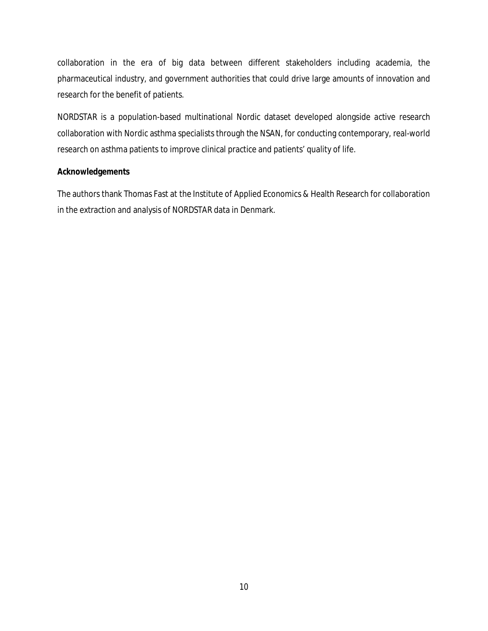collaboration in the era of big data between different stakeholders including academia, the pharmaceutical industry, and government authorities that could drive large amounts of innovation and research for the benefit of patients.

NORDSTAR is a population-based multinational Nordic dataset developed alongside active research collaboration with Nordic asthma specialists through the NSAN, for conducting contemporary, real-world research on asthma patients to improve clinical practice and patients' quality of life.

## **Acknowledgements**

The authors thank Thomas Fast at the Institute of Applied Economics & Health Research for collaboration in the extraction and analysis of NORDSTAR data in Denmark.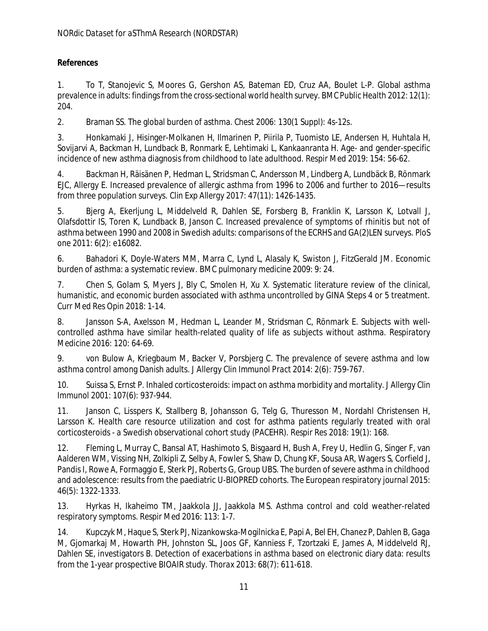# **References**

1. To T, Stanojevic S, Moores G, Gershon AS, Bateman ED, Cruz AA, Boulet L-P. Global asthma prevalence in adults: findings from the cross-sectional world health survey. *BMC Public Health* 2012: 12(1): 204.

<span id="page-10-0"></span>2. Braman SS. The global burden of asthma. *Chest* 2006: 130(1 Suppl): 4s-12s.

<span id="page-10-1"></span>3. Honkamaki J, Hisinger-Molkanen H, Ilmarinen P, Piirila P, Tuomisto LE, Andersen H, Huhtala H, Sovijarvi A, Backman H, Lundback B, Ronmark E, Lehtimaki L, Kankaanranta H. Age- and gender-specific incidence of new asthma diagnosis from childhood to late adulthood. *Respir Med* 2019: 154: 56-62.

<span id="page-10-2"></span>4. Backman H, Räisänen P, Hedman L, Stridsman C, Andersson M, Lindberg A, Lundbäck B, Rönmark EJC, Allergy E. Increased prevalence of allergic asthma from 1996 to 2006 and further to 2016—results from three population surveys. *Clin Exp Allergy* 2017: 47(11): 1426-1435.

<span id="page-10-3"></span>5. Bjerg A, Ekerljung L, Middelveld R, Dahlen SE, Forsberg B, Franklin K, Larsson K, Lotvall J, Olafsdottir IS, Toren K, Lundback B, Janson C. Increased prevalence of symptoms of rhinitis but not of asthma between 1990 and 2008 in Swedish adults: comparisons of the ECRHS and GA(2)LEN surveys. *PloS one* 2011: 6(2): e16082.

<span id="page-10-4"></span>6. Bahadori K, Doyle-Waters MM, Marra C, Lynd L, Alasaly K, Swiston J, FitzGerald JM. Economic burden of asthma: a systematic review. *BMC pulmonary medicine* 2009: 9: 24.

7. Chen S, Golam S, Myers J, Bly C, Smolen H, Xu X. Systematic literature review of the clinical, humanistic, and economic burden associated with asthma uncontrolled by GINA Steps 4 or 5 treatment. *Curr Med Res Opin* 2018: 1-14.

8. Jansson S-A, Axelsson M, Hedman L, Leander M, Stridsman C, Rönmark E. Subjects with wellcontrolled asthma have similar health-related quality of life as subjects without asthma. *Respiratory Medicine* 2016: 120: 64-69.

<span id="page-10-5"></span>9. von Bulow A, Kriegbaum M, Backer V, Porsbjerg C. The prevalence of severe asthma and low asthma control among Danish adults. *J Allergy Clin Immunol Pract* 2014: 2(6): 759-767.

<span id="page-10-6"></span>10. Suissa S, Ernst P. Inhaled corticosteroids: impact on asthma morbidity and mortality. *J Allergy Clin Immunol* 2001: 107(6): 937-944.

<span id="page-10-7"></span>11. Janson C, Lisspers K, Stallberg B, Johansson G, Telg G, Thuresson M, Nordahl Christensen H, Larsson K. Health care resource utilization and cost for asthma patients regularly treated with oral corticosteroids - a Swedish observational cohort study (PACEHR). *Respir Res* 2018: 19(1): 168.

<span id="page-10-8"></span>12. Fleming L, Murray C, Bansal AT, Hashimoto S, Bisgaard H, Bush A, Frey U, Hedlin G, Singer F, van Aalderen WM, Vissing NH, Zolkipli Z, Selby A, Fowler S, Shaw D, Chung KF, Sousa AR, Wagers S, Corfield J, Pandis I, Rowe A, Formaggio E, Sterk PJ, Roberts G, Group UBS. The burden of severe asthma in childhood and adolescence: results from the paediatric U-BIOPRED cohorts. *The European respiratory journal* 2015: 46(5): 1322-1333.

13. Hyrkas H, Ikaheimo TM, Jaakkola JJ, Jaakkola MS. Asthma control and cold weather-related respiratory symptoms. *Respir Med* 2016: 113: 1-7.

14. Kupczyk M, Haque S, Sterk PJ, Nizankowska-Mogilnicka E, Papi A, Bel EH, Chanez P, Dahlen B, Gaga M, Gjomarkaj M, Howarth PH, Johnston SL, Joos GF, Kanniess F, Tzortzaki E, James A, Middelveld RJ, Dahlen SE, investigators B. Detection of exacerbations in asthma based on electronic diary data: results from the 1-year prospective BIOAIR study. *Thorax* 2013: 68(7): 611-618.